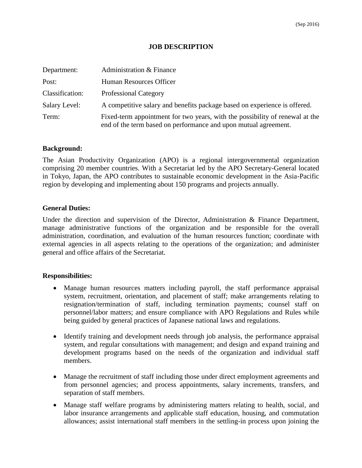# **JOB DESCRIPTION**

| Department:     | Administration & Finance                                                                                                                        |
|-----------------|-------------------------------------------------------------------------------------------------------------------------------------------------|
| Post:           | Human Resources Officer                                                                                                                         |
| Classification: | <b>Professional Category</b>                                                                                                                    |
| Salary Level:   | A competitive salary and benefits package based on experience is offered.                                                                       |
| Term:           | Fixed-term appointment for two years, with the possibility of renewal at the<br>end of the term based on performance and upon mutual agreement. |

## **Background:**

The Asian Productivity Organization (APO) is a regional intergovernmental organization comprising 20 member countries. With a Secretariat led by the APO Secretary-General located in Tokyo, Japan, the APO contributes to sustainable economic development in the Asia-Pacific region by developing and implementing about 150 programs and projects annually.

## **General Duties:**

Under the direction and supervision of the Director, Administration & Finance Department, manage administrative functions of the organization and be responsible for the overall administration, coordination, and evaluation of the human resources function; coordinate with external agencies in all aspects relating to the operations of the organization; and administer general and office affairs of the Secretariat.

## **Responsibilities:**

- Manage human resources matters including payroll, the staff performance appraisal system, recruitment, orientation, and placement of staff; make arrangements relating to resignation/termination of staff, including termination payments; counsel staff on personnel/labor matters; and ensure compliance with APO Regulations and Rules while being guided by general practices of Japanese national laws and regulations.
- Identify training and development needs through job analysis, the performance appraisal system, and regular consultations with management; and design and expand training and development programs based on the needs of the organization and individual staff members.
- Manage the recruitment of staff including those under direct employment agreements and from personnel agencies; and process appointments, salary increments, transfers, and separation of staff members.
- Manage staff welfare programs by administering matters relating to health, social, and labor insurance arrangements and applicable staff education, housing, and commutation allowances; assist international staff members in the settling-in process upon joining the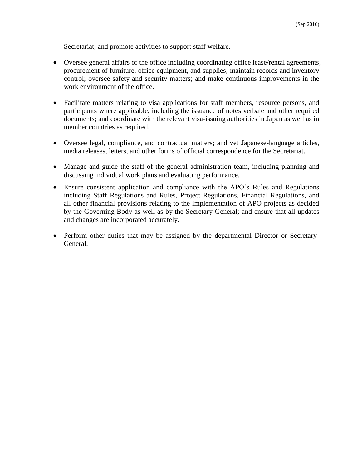Secretariat; and promote activities to support staff welfare.

- Oversee general affairs of the office including coordinating office lease/rental agreements; procurement of furniture, office equipment, and supplies; maintain records and inventory control; oversee safety and security matters; and make continuous improvements in the work environment of the office.
- Facilitate matters relating to visa applications for staff members, resource persons, and participants where applicable, including the issuance of notes verbale and other required documents; and coordinate with the relevant visa-issuing authorities in Japan as well as in member countries as required.
- Oversee legal, compliance, and contractual matters; and vet Japanese-language articles, media releases, letters, and other forms of official correspondence for the Secretariat.
- Manage and guide the staff of the general administration team, including planning and discussing individual work plans and evaluating performance.
- Ensure consistent application and compliance with the APO's Rules and Regulations including Staff Regulations and Rules, Project Regulations, Financial Regulations, and all other financial provisions relating to the implementation of APO projects as decided by the Governing Body as well as by the Secretary-General; and ensure that all updates and changes are incorporated accurately.
- Perform other duties that may be assigned by the departmental Director or Secretary-General.